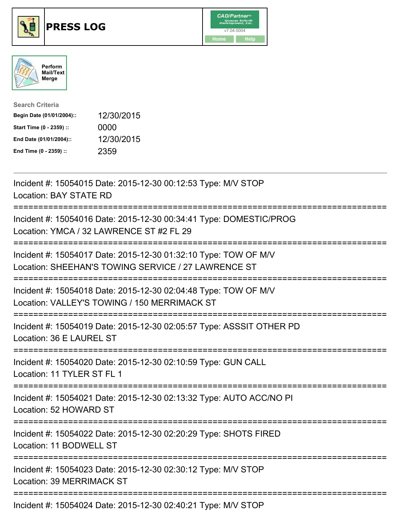





| <b>Search Criteria</b>    |            |
|---------------------------|------------|
| Begin Date (01/01/2004):: | 12/30/2015 |
| Start Time (0 - 2359) ::  | 0000       |
| End Date (01/01/2004)::   | 12/30/2015 |
| End Time (0 - 2359) ::    | 2359       |

| Incident #: 15054015 Date: 2015-12-30 00:12:53 Type: M/V STOP<br><b>Location: BAY STATE RD</b>                         |
|------------------------------------------------------------------------------------------------------------------------|
| Incident #: 15054016 Date: 2015-12-30 00:34:41 Type: DOMESTIC/PROG<br>Location: YMCA / 32 LAWRENCE ST #2 FL 29         |
| Incident #: 15054017 Date: 2015-12-30 01:32:10 Type: TOW OF M/V<br>Location: SHEEHAN'S TOWING SERVICE / 27 LAWRENCE ST |
| Incident #: 15054018 Date: 2015-12-30 02:04:48 Type: TOW OF M/V<br>Location: VALLEY'S TOWING / 150 MERRIMACK ST        |
| Incident #: 15054019 Date: 2015-12-30 02:05:57 Type: ASSSIT OTHER PD<br>Location: 36 E LAUREL ST                       |
| Incident #: 15054020 Date: 2015-12-30 02:10:59 Type: GUN CALL<br>Location: 11 TYLER ST FL 1                            |
| Incident #: 15054021 Date: 2015-12-30 02:13:32 Type: AUTO ACC/NO PI<br>Location: 52 HOWARD ST                          |
| Incident #: 15054022 Date: 2015-12-30 02:20:29 Type: SHOTS FIRED<br>Location: 11 BODWELL ST                            |
| Incident #: 15054023 Date: 2015-12-30 02:30:12 Type: M/V STOP<br><b>Location: 39 MERRIMACK ST</b>                      |
| Incident #: 15054024 Date: 2015-12-30 02:40:21 Type: M/V STOP                                                          |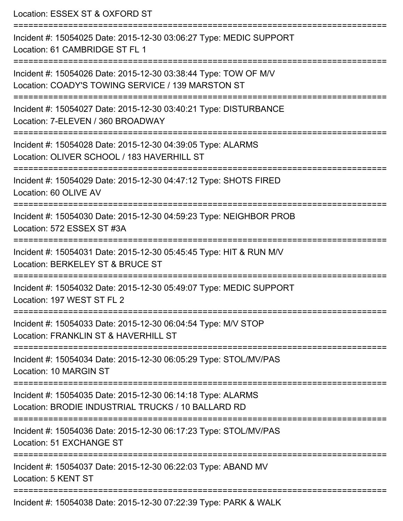Location: ESSEX ST & OXFORD ST =========================================================================== Incident #: 15054025 Date: 2015-12-30 03:06:27 Type: MEDIC SUPPORT Location: 61 CAMBRIDGE ST FL 1 =========================================================================== Incident #: 15054026 Date: 2015-12-30 03:38:44 Type: TOW OF M/V Location: COADY'S TOWING SERVICE / 139 MARSTON ST =========================================================================== Incident #: 15054027 Date: 2015-12-30 03:40:21 Type: DISTURBANCE Location: 7-ELEVEN / 360 BROADWAY =========================================================================== Incident #: 15054028 Date: 2015-12-30 04:39:05 Type: ALARMS Location: OLIVER SCHOOL / 183 HAVERHILL ST =========================================================================== Incident #: 15054029 Date: 2015-12-30 04:47:12 Type: SHOTS FIRED Location: 60 OLIVE AV =========================================================================== Incident #: 15054030 Date: 2015-12-30 04:59:23 Type: NEIGHBOR PROB Location: 572 ESSEX ST #3A =========================================================================== Incident #: 15054031 Date: 2015-12-30 05:45:45 Type: HIT & RUN M/V Location: BERKELEY ST & BRUCE ST =========================================================================== Incident #: 15054032 Date: 2015-12-30 05:49:07 Type: MEDIC SUPPORT Location: 197 WEST ST FL 2 =========================================================================== Incident #: 15054033 Date: 2015-12-30 06:04:54 Type: M/V STOP Location: FRANKLIN ST & HAVERHILL ST =========================================================================== Incident #: 15054034 Date: 2015-12-30 06:05:29 Type: STOL/MV/PAS Location: 10 MARGIN ST =========================================================================== Incident #: 15054035 Date: 2015-12-30 06:14:18 Type: ALARMS Location: BRODIE INDUSTRIAL TRUCKS / 10 BALLARD RD =========================================================================== Incident #: 15054036 Date: 2015-12-30 06:17:23 Type: STOL/MV/PAS Location: 51 EXCHANGE ST =========================================================================== Incident #: 15054037 Date: 2015-12-30 06:22:03 Type: ABAND MV Location: 5 KENT ST =========================================================================== Incident #: 15054038 Date: 2015-12-30 07:22:39 Type: PARK & WALK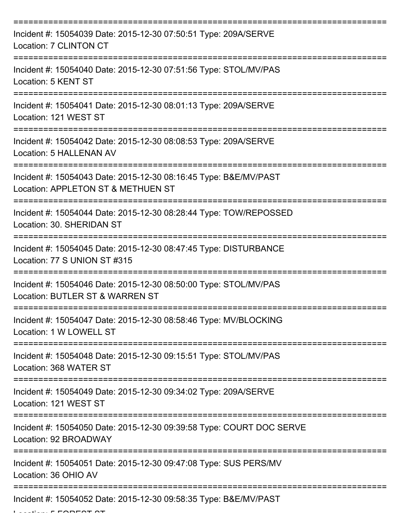| Incident #: 15054039 Date: 2015-12-30 07:50:51 Type: 209A/SERVE<br>Location: 7 CLINTON CT              |
|--------------------------------------------------------------------------------------------------------|
| Incident #: 15054040 Date: 2015-12-30 07:51:56 Type: STOL/MV/PAS<br>Location: 5 KENT ST                |
| Incident #: 15054041 Date: 2015-12-30 08:01:13 Type: 209A/SERVE<br>Location: 121 WEST ST               |
| Incident #: 15054042 Date: 2015-12-30 08:08:53 Type: 209A/SERVE<br>Location: 5 HALLENAN AV             |
| Incident #: 15054043 Date: 2015-12-30 08:16:45 Type: B&E/MV/PAST<br>Location: APPLETON ST & METHUEN ST |
| Incident #: 15054044 Date: 2015-12-30 08:28:44 Type: TOW/REPOSSED<br>Location: 30. SHERIDAN ST         |
| Incident #: 15054045 Date: 2015-12-30 08:47:45 Type: DISTURBANCE<br>Location: 77 S UNION ST #315       |
| Incident #: 15054046 Date: 2015-12-30 08:50:00 Type: STOL/MV/PAS<br>Location: BUTLER ST & WARREN ST    |
| Incident #: 15054047 Date: 2015-12-30 08:58:46 Type: MV/BLOCKING<br>Location: 1 W LOWELL ST            |
| Incident #: 15054048 Date: 2015-12-30 09:15:51 Type: STOL/MV/PAS<br>Location: 368 WATER ST             |
| Incident #: 15054049 Date: 2015-12-30 09:34:02 Type: 209A/SERVE<br>Location: 121 WEST ST               |
| Incident #: 15054050 Date: 2015-12-30 09:39:58 Type: COURT DOC SERVE<br>Location: 92 BROADWAY          |
| Incident #: 15054051 Date: 2015-12-30 09:47:08 Type: SUS PERS/MV<br>Location: 36 OHIO AV               |
| Incident #: 15054052 Date: 2015-12-30 09:58:35 Type: B&E/MV/PAST                                       |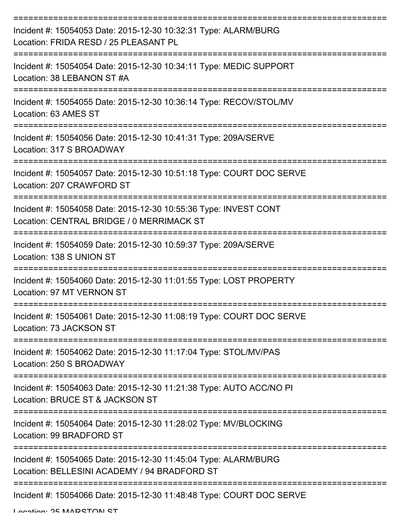| Incident #: 15054053 Date: 2015-12-30 10:32:31 Type: ALARM/BURG<br>Location: FRIDA RESD / 25 PLEASANT PL        |
|-----------------------------------------------------------------------------------------------------------------|
| Incident #: 15054054 Date: 2015-12-30 10:34:11 Type: MEDIC SUPPORT<br>Location: 38 LEBANON ST #A                |
| Incident #: 15054055 Date: 2015-12-30 10:36:14 Type: RECOV/STOL/MV<br>Location: 63 AMES ST                      |
| Incident #: 15054056 Date: 2015-12-30 10:41:31 Type: 209A/SERVE<br>Location: 317 S BROADWAY                     |
| Incident #: 15054057 Date: 2015-12-30 10:51:18 Type: COURT DOC SERVE<br>Location: 207 CRAWFORD ST               |
| Incident #: 15054058 Date: 2015-12-30 10:55:36 Type: INVEST CONT<br>Location: CENTRAL BRIDGE / 0 MERRIMACK ST   |
| Incident #: 15054059 Date: 2015-12-30 10:59:37 Type: 209A/SERVE<br>Location: 138 S UNION ST                     |
| Incident #: 15054060 Date: 2015-12-30 11:01:55 Type: LOST PROPERTY<br>Location: 97 MT VERNON ST                 |
| Incident #: 15054061 Date: 2015-12-30 11:08:19 Type: COURT DOC SERVE<br>Location: 73 JACKSON ST                 |
| Incident #: 15054062 Date: 2015-12-30 11:17:04 Type: STOL/MV/PAS<br>Location: 250 S BROADWAY                    |
| Incident #: 15054063 Date: 2015-12-30 11:21:38 Type: AUTO ACC/NO PI<br>Location: BRUCE ST & JACKSON ST          |
| Incident #: 15054064 Date: 2015-12-30 11:28:02 Type: MV/BLOCKING<br>Location: 99 BRADFORD ST                    |
| Incident #: 15054065 Date: 2015-12-30 11:45:04 Type: ALARM/BURG<br>Location: BELLESINI ACADEMY / 94 BRADFORD ST |
| Incident #: 15054066 Date: 2015-12-30 11:48:48 Type: COURT DOC SERVE                                            |

Location: 25 MADETONI ET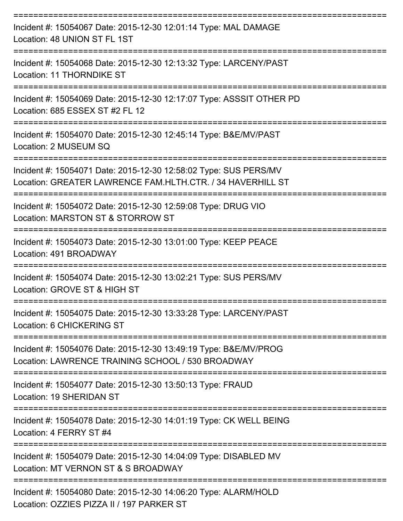| Incident #: 15054067 Date: 2015-12-30 12:01:14 Type: MAL DAMAGE<br>Location: 48 UNION ST FL 1ST                                |
|--------------------------------------------------------------------------------------------------------------------------------|
| Incident #: 15054068 Date: 2015-12-30 12:13:32 Type: LARCENY/PAST<br>Location: 11 THORNDIKE ST                                 |
| Incident #: 15054069 Date: 2015-12-30 12:17:07 Type: ASSSIT OTHER PD<br>Location: 685 ESSEX ST #2 FL 12                        |
| Incident #: 15054070 Date: 2015-12-30 12:45:14 Type: B&E/MV/PAST<br>Location: 2 MUSEUM SQ                                      |
| Incident #: 15054071 Date: 2015-12-30 12:58:02 Type: SUS PERS/MV<br>Location: GREATER LAWRENCE FAM.HLTH.CTR. / 34 HAVERHILL ST |
| Incident #: 15054072 Date: 2015-12-30 12:59:08 Type: DRUG VIO<br>Location: MARSTON ST & STORROW ST                             |
| Incident #: 15054073 Date: 2015-12-30 13:01:00 Type: KEEP PEACE<br>Location: 491 BROADWAY                                      |
| Incident #: 15054074 Date: 2015-12-30 13:02:21 Type: SUS PERS/MV<br>Location: GROVE ST & HIGH ST                               |
| Incident #: 15054075 Date: 2015-12-30 13:33:28 Type: LARCENY/PAST<br>Location: 6 CHICKERING ST                                 |
| Incident #: 15054076 Date: 2015-12-30 13:49:19 Type: B&E/MV/PROG<br>Location: LAWRENCE TRAINING SCHOOL / 530 BROADWAY          |
| Incident #: 15054077 Date: 2015-12-30 13:50:13 Type: FRAUD<br>Location: 19 SHERIDAN ST                                         |
| Incident #: 15054078 Date: 2015-12-30 14:01:19 Type: CK WELL BEING<br>Location: 4 FERRY ST #4                                  |
| Incident #: 15054079 Date: 2015-12-30 14:04:09 Type: DISABLED MV<br>Location: MT VERNON ST & S BROADWAY                        |
| Incident #: 15054080 Date: 2015-12-30 14:06:20 Type: ALARM/HOLD<br>Location: OZZIES PIZZA II / 197 PARKER ST                   |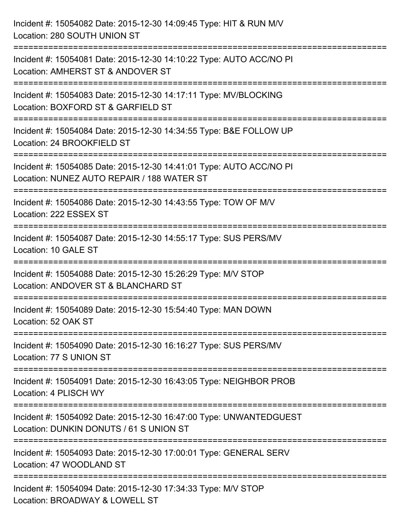| Incident #: 15054082 Date: 2015-12-30 14:09:45 Type: HIT & RUN M/V<br>Location: 280 SOUTH UNION ST                                                                |
|-------------------------------------------------------------------------------------------------------------------------------------------------------------------|
| Incident #: 15054081 Date: 2015-12-30 14:10:22 Type: AUTO ACC/NO PI<br>Location: AMHERST ST & ANDOVER ST                                                          |
| Incident #: 15054083 Date: 2015-12-30 14:17:11 Type: MV/BLOCKING<br>Location: BOXFORD ST & GARFIELD ST<br>===================================<br>================ |
| Incident #: 15054084 Date: 2015-12-30 14:34:55 Type: B&E FOLLOW UP<br>Location: 24 BROOKFIELD ST                                                                  |
| Incident #: 15054085 Date: 2015-12-30 14:41:01 Type: AUTO ACC/NO PI<br>Location: NUNEZ AUTO REPAIR / 188 WATER ST<br>=====================                        |
| Incident #: 15054086 Date: 2015-12-30 14:43:55 Type: TOW OF M/V<br>Location: 222 ESSEX ST                                                                         |
| Incident #: 15054087 Date: 2015-12-30 14:55:17 Type: SUS PERS/MV<br>Location: 10 GALE ST                                                                          |
| Incident #: 15054088 Date: 2015-12-30 15:26:29 Type: M/V STOP<br>Location: ANDOVER ST & BLANCHARD ST                                                              |
| Incident #: 15054089 Date: 2015-12-30 15:54:40 Type: MAN DOWN<br>Location: 52 OAK ST                                                                              |
| Incident #: 15054090 Date: 2015-12-30 16:16:27 Type: SUS PERS/MV<br>Location: 77 S UNION ST                                                                       |
| Incident #: 15054091 Date: 2015-12-30 16:43:05 Type: NEIGHBOR PROB<br>Location: 4 PLISCH WY                                                                       |
| Incident #: 15054092 Date: 2015-12-30 16:47:00 Type: UNWANTEDGUEST<br>Location: DUNKIN DONUTS / 61 S UNION ST                                                     |
| Incident #: 15054093 Date: 2015-12-30 17:00:01 Type: GENERAL SERV<br>Location: 47 WOODLAND ST                                                                     |
| Incident #: 15054094 Date: 2015-12-30 17:34:33 Type: M/V STOP<br>Location: BROADWAY & LOWELL ST                                                                   |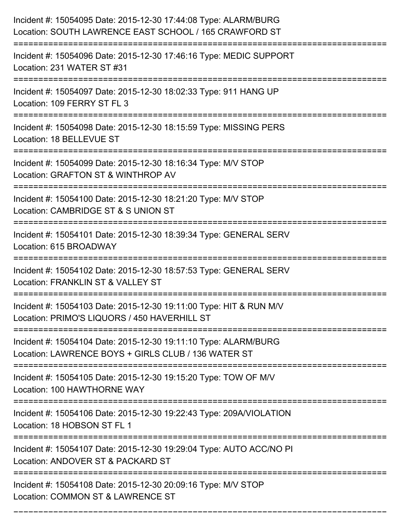| Incident #: 15054095 Date: 2015-12-30 17:44:08 Type: ALARM/BURG<br>Location: SOUTH LAWRENCE EAST SCHOOL / 165 CRAWFORD ST                |
|------------------------------------------------------------------------------------------------------------------------------------------|
| Incident #: 15054096 Date: 2015-12-30 17:46:16 Type: MEDIC SUPPORT<br>Location: 231 WATER ST #31                                         |
| Incident #: 15054097 Date: 2015-12-30 18:02:33 Type: 911 HANG UP<br>Location: 109 FERRY ST FL 3<br>===================================== |
| Incident #: 15054098 Date: 2015-12-30 18:15:59 Type: MISSING PERS<br>Location: 18 BELLEVUE ST                                            |
| Incident #: 15054099 Date: 2015-12-30 18:16:34 Type: M/V STOP<br>Location: GRAFTON ST & WINTHROP AV<br>========================          |
| Incident #: 15054100 Date: 2015-12-30 18:21:20 Type: M/V STOP<br>Location: CAMBRIDGE ST & S UNION ST                                     |
| Incident #: 15054101 Date: 2015-12-30 18:39:34 Type: GENERAL SERV<br>Location: 615 BROADWAY                                              |
| Incident #: 15054102 Date: 2015-12-30 18:57:53 Type: GENERAL SERV<br>Location: FRANKLIN ST & VALLEY ST                                   |
| Incident #: 15054103 Date: 2015-12-30 19:11:00 Type: HIT & RUN M/V<br>Location: PRIMO'S LIQUORS / 450 HAVERHILL ST                       |
| Incident #: 15054104 Date: 2015-12-30 19:11:10 Type: ALARM/BURG<br>Location: LAWRENCE BOYS + GIRLS CLUB / 136 WATER ST                   |
| Incident #: 15054105 Date: 2015-12-30 19:15:20 Type: TOW OF M/V<br>Location: 100 HAWTHORNE WAY                                           |
| ======================<br>Incident #: 15054106 Date: 2015-12-30 19:22:43 Type: 209A/VIOLATION<br>Location: 18 HOBSON ST FL 1             |
| Incident #: 15054107 Date: 2015-12-30 19:29:04 Type: AUTO ACC/NO PI<br>Location: ANDOVER ST & PACKARD ST                                 |
| Incident #: 15054108 Date: 2015-12-30 20:09:16 Type: M/V STOP<br>Location: COMMON ST & LAWRENCE ST                                       |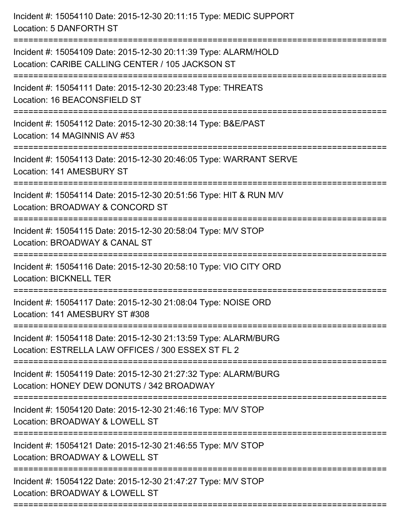| Incident #: 15054110 Date: 2015-12-30 20:11:15 Type: MEDIC SUPPORT<br>Location: 5 DANFORTH ST                                                              |
|------------------------------------------------------------------------------------------------------------------------------------------------------------|
| Incident #: 15054109 Date: 2015-12-30 20:11:39 Type: ALARM/HOLD<br>Location: CARIBE CALLING CENTER / 105 JACKSON ST                                        |
| Incident #: 15054111 Date: 2015-12-30 20:23:48 Type: THREATS<br>Location: 16 BEACONSFIELD ST                                                               |
| Incident #: 15054112 Date: 2015-12-30 20:38:14 Type: B&E/PAST<br>Location: 14 MAGINNIS AV #53                                                              |
| Incident #: 15054113 Date: 2015-12-30 20:46:05 Type: WARRANT SERVE<br>Location: 141 AMESBURY ST                                                            |
| Incident #: 15054114 Date: 2015-12-30 20:51:56 Type: HIT & RUN M/V<br>Location: BROADWAY & CONCORD ST                                                      |
| Incident #: 15054115 Date: 2015-12-30 20:58:04 Type: M/V STOP<br>Location: BROADWAY & CANAL ST<br>===============================                          |
| Incident #: 15054116 Date: 2015-12-30 20:58:10 Type: VIO CITY ORD<br><b>Location: BICKNELL TER</b>                                                         |
| Incident #: 15054117 Date: 2015-12-30 21:08:04 Type: NOISE ORD<br>Location: 141 AMESBURY ST #308                                                           |
| Incident #: 15054118 Date: 2015-12-30 21:13:59 Type: ALARM/BURG<br>Location: ESTRELLA LAW OFFICES / 300 ESSEX ST FL 2<br>--------------------------------- |
| Incident #: 15054119 Date: 2015-12-30 21:27:32 Type: ALARM/BURG<br>Location: HONEY DEW DONUTS / 342 BROADWAY                                               |
| Incident #: 15054120 Date: 2015-12-30 21:46:16 Type: M/V STOP<br>Location: BROADWAY & LOWELL ST<br>:===========================                            |
| Incident #: 15054121 Date: 2015-12-30 21:46:55 Type: M/V STOP<br>Location: BROADWAY & LOWELL ST                                                            |
| Incident #: 15054122 Date: 2015-12-30 21:47:27 Type: M/V STOP<br>Location: BROADWAY & LOWELL ST                                                            |
|                                                                                                                                                            |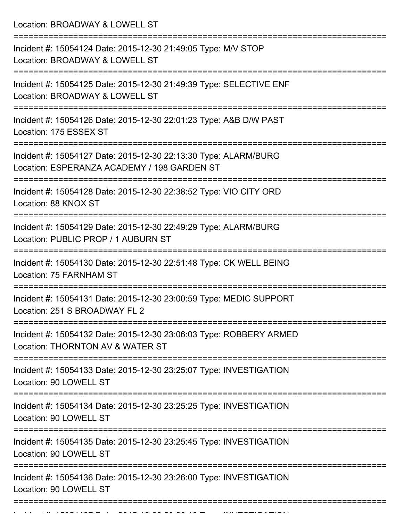Location: BROADWAY & LOWELL ST =========================================================================== Incident #: 15054124 Date: 2015-12-30 21:49:05 Type: M/V STOP Location: BROADWAY & LOWELL ST =========================================================================== Incident #: 15054125 Date: 2015-12-30 21:49:39 Type: SELECTIVE ENF Location: BROADWAY & LOWELL ST =========================================================================== Incident #: 15054126 Date: 2015-12-30 22:01:23 Type: A&B D/W PAST Location: 175 ESSEX ST =========================================================================== Incident #: 15054127 Date: 2015-12-30 22:13:30 Type: ALARM/BURG Location: ESPERANZA ACADEMY / 198 GARDEN ST =========================================================================== Incident #: 15054128 Date: 2015-12-30 22:38:52 Type: VIO CITY ORD Location: 88 KNOX ST =========================================================================== Incident #: 15054129 Date: 2015-12-30 22:49:29 Type: ALARM/BURG Location: PUBLIC PROP / 1 AUBURN ST =========================================================================== Incident #: 15054130 Date: 2015-12-30 22:51:48 Type: CK WELL BEING Location: 75 FARNHAM ST =========================================================================== Incident #: 15054131 Date: 2015-12-30 23:00:59 Type: MEDIC SUPPORT Location: 251 S BROADWAY FL 2 =========================================================================== Incident #: 15054132 Date: 2015-12-30 23:06:03 Type: ROBBERY ARMED Location: THORNTON AV & WATER ST =========================================================================== Incident #: 15054133 Date: 2015-12-30 23:25:07 Type: INVESTIGATION Location: 90 LOWELL ST =========================================================================== Incident #: 15054134 Date: 2015-12-30 23:25:25 Type: INVESTIGATION Location: 90 LOWELL ST =========================================================================== Incident #: 15054135 Date: 2015-12-30 23:25:45 Type: INVESTIGATION Location: 90 LOWELL ST =========================================================================== Incident #: 15054136 Date: 2015-12-30 23:26:00 Type: INVESTIGATION Location: 90 LOWELL ST ===========================================================================

Incident #: 15054137 Date: 2015 12 30 23:26:13 Type: INVESTIGATION